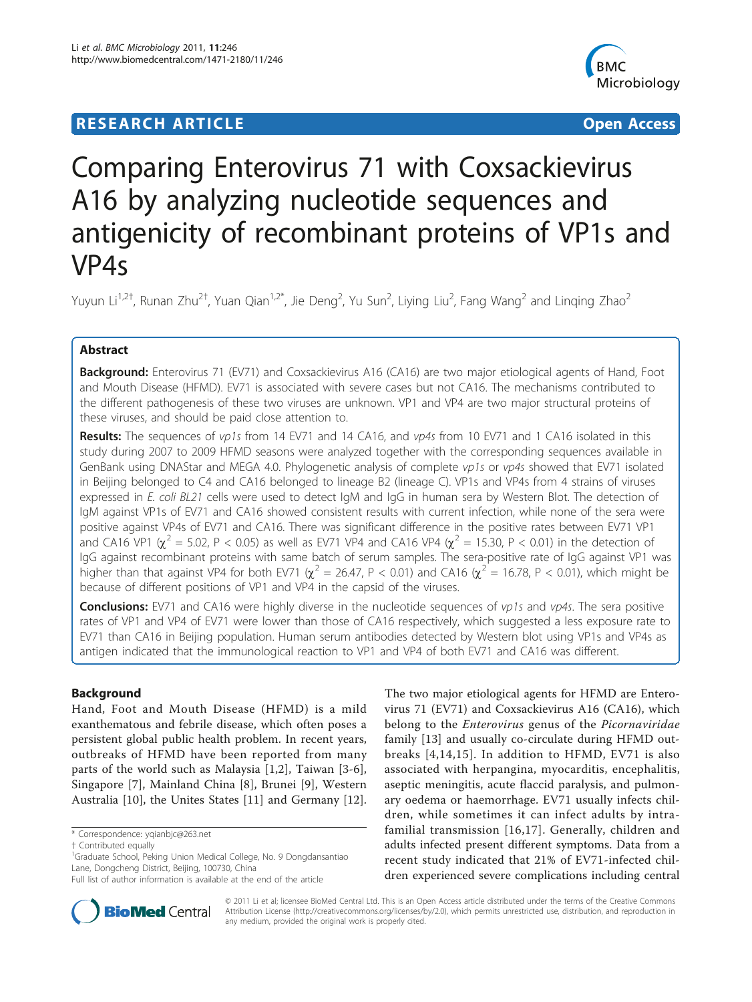# **RESEARCH ARTICLE Example 2014 CONSUMING ACCESS**



# Comparing Enterovirus 71 with Coxsackievirus A16 by analyzing nucleotide sequences and antigenicity of recombinant proteins of VP1s and VP4s

Yuyun Li $^{1,2^+}$ , Runan Zhu $^{2^+}$ , Yuan Qian $^{1,2^*}$ , Jie Deng $^2$ , Yu Sun $^2$ , Liying Liu $^2$ , Fang Wang $^2$  and Linqing Zhao $^2$ 

# Abstract

Background: Enterovirus 71 (EV71) and Coxsackievirus A16 (CA16) are two major etiological agents of Hand, Foot and Mouth Disease (HFMD). EV71 is associated with severe cases but not CA16. The mechanisms contributed to the different pathogenesis of these two viruses are unknown. VP1 and VP4 are two major structural proteins of these viruses, and should be paid close attention to.

**Results:** The sequences of vp1s from 14 EV71 and 14 CA16, and vp4s from 10 EV71 and 1 CA16 isolated in this study during 2007 to 2009 HFMD seasons were analyzed together with the corresponding sequences available in GenBank using DNAStar and MEGA 4.0. Phylogenetic analysis of complete vp1s or vp4s showed that EV71 isolated in Beijing belonged to C4 and CA16 belonged to lineage B2 (lineage C). VP1s and VP4s from 4 strains of viruses expressed in E. coli BL21 cells were used to detect IgM and IgG in human sera by Western Blot. The detection of IgM against VP1s of EV71 and CA16 showed consistent results with current infection, while none of the sera were positive against VP4s of EV71 and CA16. There was significant difference in the positive rates between EV71 VP1 and CA16 VP1 ( $\chi^2$  = 5.02, P < 0.05) as well as EV71 VP4 and CA16 VP4 ( $\chi^2$  = 15.30, P < 0.01) in the detection of IgG against recombinant proteins with same batch of serum samples. The sera-positive rate of IgG against VP1 was higher than that against VP4 for both EV71 ( $\chi^2$  = 26.47, P < 0.01) and CA16 ( $\chi^2$  = 16.78, P < 0.01), which might be because of different positions of VP1 and VP4 in the capsid of the viruses.

**Conclusions:** EV71 and CA16 were highly diverse in the nucleotide sequences of vp1s and vp4s. The sera positive rates of VP1 and VP4 of EV71 were lower than those of CA16 respectively, which suggested a less exposure rate to EV71 than CA16 in Beijing population. Human serum antibodies detected by Western blot using VP1s and VP4s as antigen indicated that the immunological reaction to VP1 and VP4 of both EV71 and CA16 was different.

# Background

Hand, Foot and Mouth Disease (HFMD) is a mild exanthematous and febrile disease, which often poses a persistent global public health problem. In recent years, outbreaks of HFMD have been reported from many parts of the world such as Malaysia [\[1,2](#page-9-0)], Taiwan [[3-6](#page-9-0)], Singapore [[7\]](#page-9-0), Mainland China [\[8](#page-9-0)], Brunei [\[9](#page-9-0)], Western Australia [\[10](#page-9-0)], the Unites States [[11\]](#page-9-0) and Germany [\[12](#page-9-0)].

\* Correspondence: [yqianbjc@263.net](mailto:yqianbjc@263.net)

The two major etiological agents for HFMD are Enterovirus 71 (EV71) and Coxsackievirus A16 (CA16), which belong to the Enterovirus genus of the Picornaviridae family [[13\]](#page-9-0) and usually co-circulate during HFMD outbreaks [[4,14,15\]](#page-9-0). In addition to HFMD, EV71 is also associated with herpangina, myocarditis, encephalitis, aseptic meningitis, acute flaccid paralysis, and pulmonary oedema or haemorrhage. EV71 usually infects children, while sometimes it can infect adults by intrafamilial transmission [[16](#page-9-0),[17](#page-9-0)]. Generally, children and adults infected present different symptoms. Data from a recent study indicated that 21% of EV71-infected children experienced severe complications including central



© 2011 Li et al; licensee BioMed Central Ltd. This is an Open Access article distributed under the terms of the Creative Commons Attribution License [\(http://creativecommons.org/licenses/by/2.0](http://creativecommons.org/licenses/by/2.0)), which permits unrestricted use, distribution, and reproduction in any medium, provided the original work is properly cited.

<sup>†</sup> Contributed equally <sup>1</sup>

<sup>&</sup>lt;sup>1</sup>Graduate School, Peking Union Medical College, No. 9 Dongdansantiao Lane, Dongcheng District, Beijing, 100730, China

Full list of author information is available at the end of the article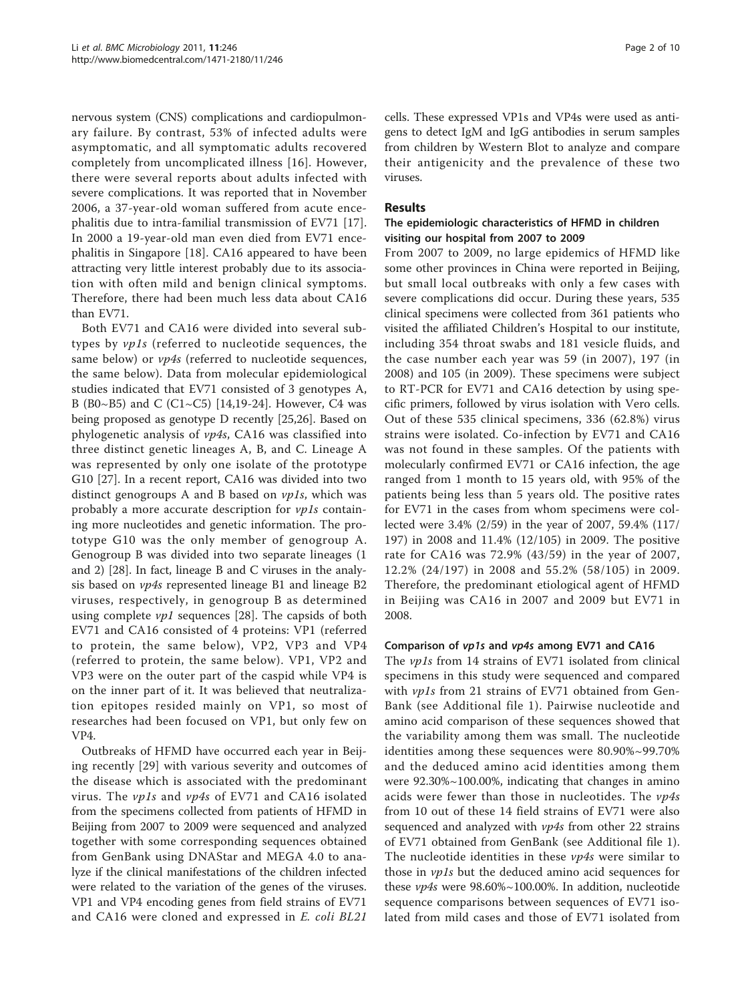nervous system (CNS) complications and cardiopulmonary failure. By contrast, 53% of infected adults were asymptomatic, and all symptomatic adults recovered completely from uncomplicated illness [[16](#page-9-0)]. However, there were several reports about adults infected with severe complications. It was reported that in November 2006, a 37-year-old woman suffered from acute encephalitis due to intra-familial transmission of EV71 [\[17](#page-9-0)]. In 2000 a 19-year-old man even died from EV71 encephalitis in Singapore [[18\]](#page-9-0). CA16 appeared to have been attracting very little interest probably due to its association with often mild and benign clinical symptoms. Therefore, there had been much less data about CA16 than EV71.

Both EV71 and CA16 were divided into several subtypes by vp1s (referred to nucleotide sequences, the same below) or  $\nu p4s$  (referred to nucleotide sequences, the same below). Data from molecular epidemiological studies indicated that EV71 consisted of 3 genotypes A, B (B0~B5) and C (C1~C5) [\[14,19](#page-9-0)-[24\]](#page-9-0). However, C4 was being proposed as genotype D recently [\[25,26\]](#page-9-0). Based on phylogenetic analysis of vp4s, CA16 was classified into three distinct genetic lineages A, B, and C. Lineage A was represented by only one isolate of the prototype G10 [\[27\]](#page-9-0). In a recent report, CA16 was divided into two distinct genogroups A and B based on  $vpls$ , which was probably a more accurate description for vp1s containing more nucleotides and genetic information. The prototype G10 was the only member of genogroup A. Genogroup B was divided into two separate lineages (1 and 2) [\[28\]](#page-9-0). In fact, lineage B and C viruses in the analysis based on vp4s represented lineage B1 and lineage B2 viruses, respectively, in genogroup B as determined using complete  $vp1$  sequences [[28\]](#page-9-0). The capsids of both EV71 and CA16 consisted of 4 proteins: VP1 (referred to protein, the same below), VP2, VP3 and VP4 (referred to protein, the same below). VP1, VP2 and VP3 were on the outer part of the caspid while VP4 is on the inner part of it. It was believed that neutralization epitopes resided mainly on VP1, so most of researches had been focused on VP1, but only few on VP4.

Outbreaks of HFMD have occurred each year in Beijing recently [[29](#page-9-0)] with various severity and outcomes of the disease which is associated with the predominant virus. The *vp1s* and *vp4s* of EV71 and CA16 isolated from the specimens collected from patients of HFMD in Beijing from 2007 to 2009 were sequenced and analyzed together with some corresponding sequences obtained from GenBank using DNAStar and MEGA 4.0 to analyze if the clinical manifestations of the children infected were related to the variation of the genes of the viruses. VP1 and VP4 encoding genes from field strains of EV71 and CA16 were cloned and expressed in E. coli BL21

cells. These expressed VP1s and VP4s were used as antigens to detect IgM and IgG antibodies in serum samples from children by Western Blot to analyze and compare their antigenicity and the prevalence of these two viruses.

# Results

#### The epidemiologic characteristics of HFMD in children visiting our hospital from 2007 to 2009

From 2007 to 2009, no large epidemics of HFMD like some other provinces in China were reported in Beijing, but small local outbreaks with only a few cases with severe complications did occur. During these years, 535 clinical specimens were collected from 361 patients who visited the affiliated Children's Hospital to our institute, including 354 throat swabs and 181 vesicle fluids, and the case number each year was 59 (in 2007), 197 (in 2008) and 105 (in 2009). These specimens were subject to RT-PCR for EV71 and CA16 detection by using specific primers, followed by virus isolation with Vero cells. Out of these 535 clinical specimens, 336 (62.8%) virus strains were isolated. Co-infection by EV71 and CA16 was not found in these samples. Of the patients with molecularly confirmed EV71 or CA16 infection, the age ranged from 1 month to 15 years old, with 95% of the patients being less than 5 years old. The positive rates for EV71 in the cases from whom specimens were collected were 3.4% (2/59) in the year of 2007, 59.4% (117/ 197) in 2008 and 11.4% (12/105) in 2009. The positive rate for CA16 was 72.9% (43/59) in the year of 2007, 12.2% (24/197) in 2008 and 55.2% (58/105) in 2009. Therefore, the predominant etiological agent of HFMD in Beijing was CA16 in 2007 and 2009 but EV71 in 2008.

#### Comparison of vp1s and vp4s among EV71 and CA16

The *vp1s* from 14 strains of EV71 isolated from clinical specimens in this study were sequenced and compared with *vp1s* from 21 strains of EV71 obtained from Gen-Bank (see Additional file [1\)](#page-8-0). Pairwise nucleotide and amino acid comparison of these sequences showed that the variability among them was small. The nucleotide identities among these sequences were 80.90%~99.70% and the deduced amino acid identities among them were 92.30%~100.00%, indicating that changes in amino acids were fewer than those in nucleotides. The  $vp4s$ from 10 out of these 14 field strains of EV71 were also sequenced and analyzed with  $\nu p4s$  from other 22 strains of EV71 obtained from GenBank (see Additional file [1](#page-8-0)). The nucleotide identities in these  $\nu p 4s$  were similar to those in *vp1s* but the deduced amino acid sequences for these  $\nu p4s$  were 98.60%~100.00%. In addition, nucleotide sequence comparisons between sequences of EV71 isolated from mild cases and those of EV71 isolated from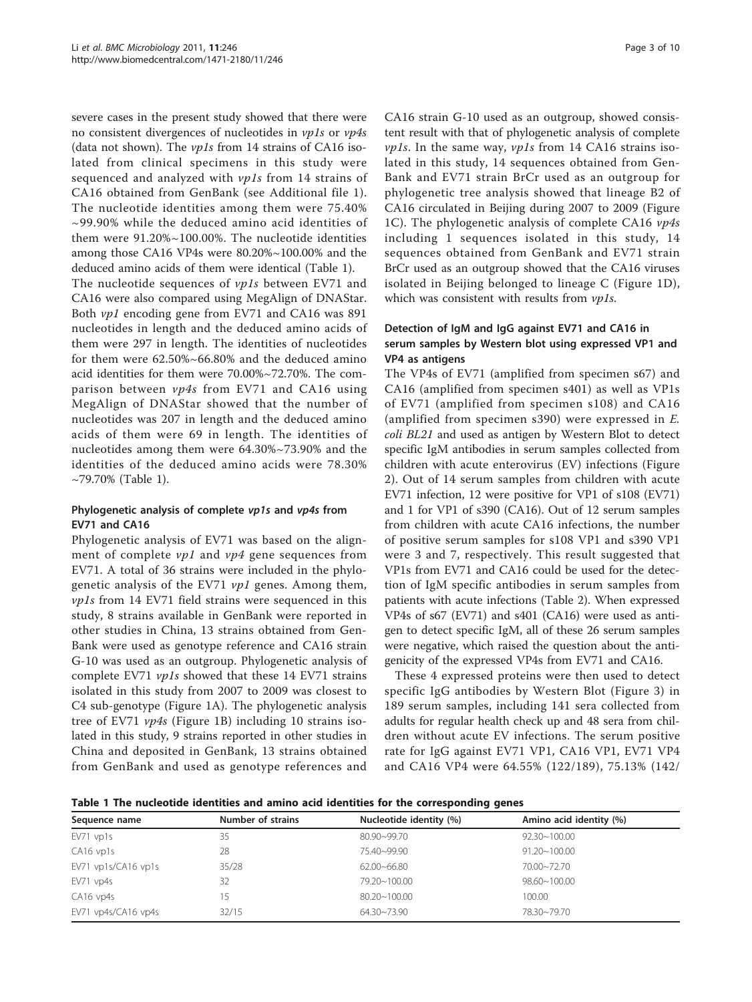severe cases in the present study showed that there were no consistent divergences of nucleotides in vp1s or vp4s (data not shown). The vp1s from 14 strains of CA16 isolated from clinical specimens in this study were sequenced and analyzed with  $vpls$  from 14 strains of CA16 obtained from GenBank (see Additional file [1\)](#page-8-0). The nucleotide identities among them were 75.40% ~99.90% while the deduced amino acid identities of them were 91.20%~100.00%. The nucleotide identities among those CA16 VP4s were 80.20%~100.00% and the deduced amino acids of them were identical (Table 1).

The nucleotide sequences of vp1s between EV71 and CA16 were also compared using MegAlign of DNAStar. Both vp1 encoding gene from EV71 and CA16 was 891 nucleotides in length and the deduced amino acids of them were 297 in length. The identities of nucleotides for them were 62.50%~66.80% and the deduced amino acid identities for them were 70.00%~72.70%. The comparison between vp4s from EV71 and CA16 using MegAlign of DNAStar showed that the number of nucleotides was 207 in length and the deduced amino acids of them were 69 in length. The identities of nucleotides among them were 64.30%~73.90% and the identities of the deduced amino acids were 78.30%  $\sim$ 79.70% (Table 1).

# Phylogenetic analysis of complete vp1s and vp4s from EV71 and CA16

Phylogenetic analysis of EV71 was based on the alignment of complete  $vp1$  and  $vp4$  gene sequences from EV71. A total of 36 strains were included in the phylogenetic analysis of the EV71  $vpl$  genes. Among them, vp1s from 14 EV71 field strains were sequenced in this study, 8 strains available in GenBank were reported in other studies in China, 13 strains obtained from Gen-Bank were used as genotype reference and CA16 strain G-10 was used as an outgroup. Phylogenetic analysis of complete EV71 vp1s showed that these 14 EV71 strains isolated in this study from 2007 to 2009 was closest to C4 sub-genotype (Figure [1A\)](#page-3-0). The phylogenetic analysis tree of EV71 vp4s (Figure [1B\)](#page-3-0) including 10 strains isolated in this study, 9 strains reported in other studies in China and deposited in GenBank, 13 strains obtained from GenBank and used as genotype references and

CA16 strain G-10 used as an outgroup, showed consistent result with that of phylogenetic analysis of complete vp1s. In the same way, vp1s from 14 CA16 strains isolated in this study, 14 sequences obtained from Gen-Bank and EV71 strain BrCr used as an outgroup for phylogenetic tree analysis showed that lineage B2 of CA16 circulated in Beijing during 2007 to 2009 (Figure [1C\)](#page-3-0). The phylogenetic analysis of complete CA16  $vp4s$ including 1 sequences isolated in this study, 14 sequences obtained from GenBank and EV71 strain BrCr used as an outgroup showed that the CA16 viruses isolated in Beijing belonged to lineage C (Figure [1D](#page-3-0)), which was consistent with results from vp1s.

# Detection of IgM and IgG against EV71 and CA16 in serum samples by Western blot using expressed VP1 and VP4 as antigens

The VP4s of EV71 (amplified from specimen s67) and CA16 (amplified from specimen s401) as well as VP1s of EV71 (amplified from specimen s108) and CA16 (amplified from specimen s390) were expressed in E. coli BL21 and used as antigen by Western Blot to detect specific IgM antibodies in serum samples collected from children with acute enterovirus (EV) infections (Figure [2\)](#page-4-0). Out of 14 serum samples from children with acute EV71 infection, 12 were positive for VP1 of s108 (EV71) and 1 for VP1 of s390 (CA16). Out of 12 serum samples from children with acute CA16 infections, the number of positive serum samples for s108 VP1 and s390 VP1 were 3 and 7, respectively. This result suggested that VP1s from EV71 and CA16 could be used for the detection of IgM specific antibodies in serum samples from patients with acute infections (Table [2\)](#page-4-0). When expressed VP4s of s67 (EV71) and s401 (CA16) were used as antigen to detect specific IgM, all of these 26 serum samples were negative, which raised the question about the antigenicity of the expressed VP4s from EV71 and CA16.

These 4 expressed proteins were then used to detect specific IgG antibodies by Western Blot (Figure [3](#page-5-0)) in 189 serum samples, including 141 sera collected from adults for regular health check up and 48 sera from children without acute EV infections. The serum positive rate for IgG against EV71 VP1, CA16 VP1, EV71 VP4 and CA16 VP4 were 64.55% (122/189), 75.13% (142/

Table 1 The nucleotide identities and amino acid identities for the corresponding genes

| Sequence name       | Number of strains | Nucleotide identity (%) | Amino acid identity (%) |
|---------------------|-------------------|-------------------------|-------------------------|
| $EV71$ vp1s         | 35                | 80.90~99.70             | $92.30 - 100.00$        |
| CA16 vp1s           | 28                | 75.40~99.90             | $91.20 - 100.00$        |
| EV71 vp1s/CA16 vp1s | 35/28             | $62.00 - 66.80$         | 70.00~72.70             |
| EV71 vp4s           | 32                | 79.20~100.00            | $98.60 - 100.00$        |
| CA16 vp4s           | 5                 | $80.20 - 100.00$        | 100.00                  |
| EV71 vp4s/CA16 vp4s | 32/15             | 64.30~73.90             | 78.30~79.70             |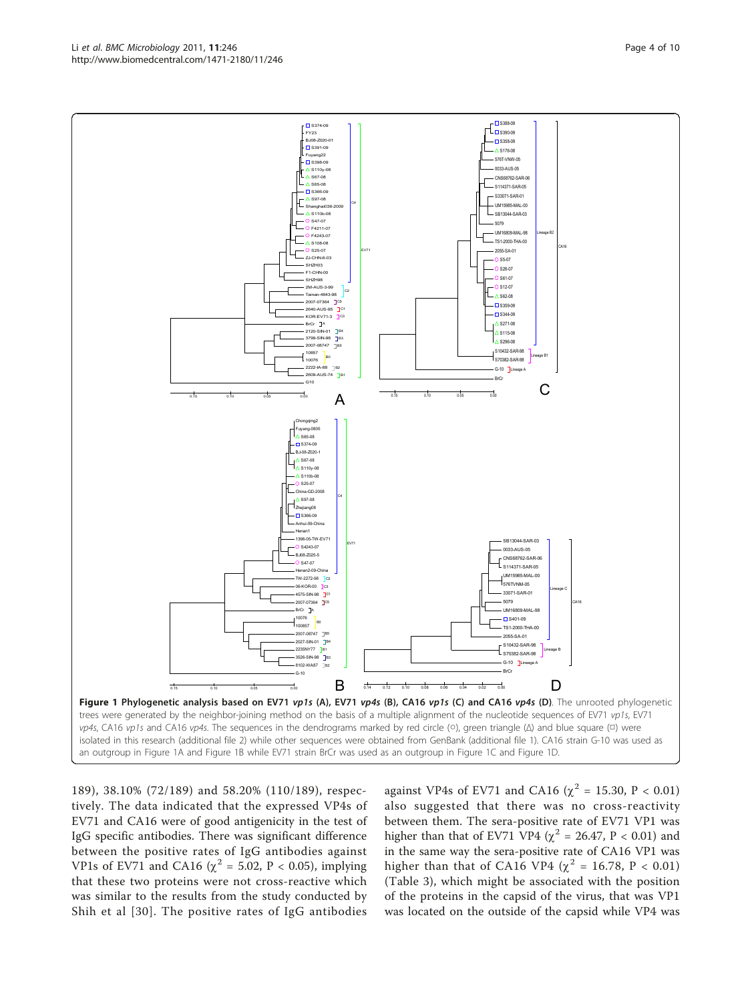189), 38.10% (72/189) and 58.20% (110/189), respectively. The data indicated that the expressed VP4s of EV71 and CA16 were of good antigenicity in the test of IgG specific antibodies. There was significant difference between the positive rates of IgG antibodies against VP1s of EV71 and CA16 ( $\chi^2$  = 5.02, P < 0.05), implying that these two proteins were not cross-reactive which was similar to the results from the study conducted by Shih et al [[30](#page-9-0)]. The positive rates of IgG antibodies

against VP4s of EV71 and CA16 ( $\chi^2$  = 15.30, P < 0.01) also suggested that there was no cross-reactivity between them. The sera-positive rate of EV71 VP1 was higher than that of EV71 VP4 ( $\chi^2$  = 26.47, P < 0.01) and in the same way the sera-positive rate of CA16 VP1 was higher than that of CA16 VP4 ( $\chi^2$  = 16.78, P < 0.01) (Table [3](#page-5-0)), which might be associated with the position of the proteins in the capsid of the virus, that was VP1 was located on the outside of the capsid while VP4 was

<span id="page-3-0"></span>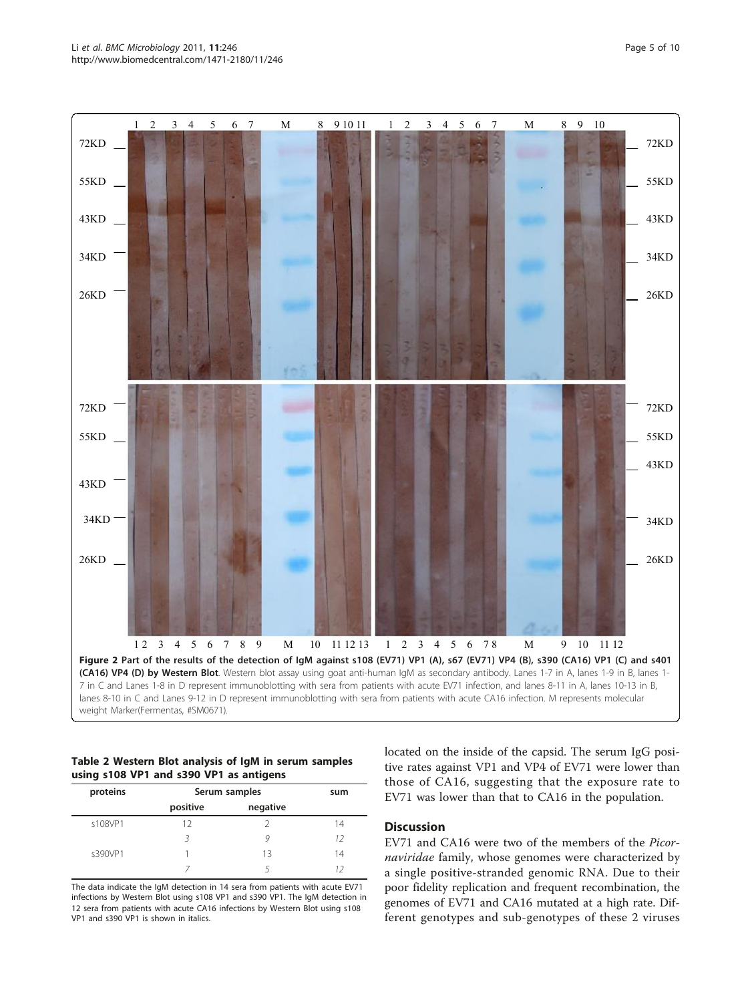<span id="page-4-0"></span>

#### Table 2 Western Blot analysis of IgM in serum samples using s108 VP1 and s390 VP1 as antigens

| proteins | Serum samples |          | sum |
|----------|---------------|----------|-----|
|          | positive      | negative |     |
| s108VP1  | 12            |          | 14  |
|          |               |          | 12  |
| s390VP1  |               | 13       | 14  |
|          |               |          |     |

The data indicate the IgM detection in 14 sera from patients with acute EV71 infections by Western Blot using s108 VP1 and s390 VP1. The IgM detection in 12 sera from patients with acute CA16 infections by Western Blot using s108 VP1 and s390 VP1 is shown in italics.

located on the inside of the capsid. The serum IgG positive rates against VP1 and VP4 of EV71 were lower than those of CA16, suggesting that the exposure rate to EV71 was lower than that to CA16 in the population.

#### **Discussion**

EV71 and CA16 were two of the members of the Picornaviridae family, whose genomes were characterized by a single positive-stranded genomic RNA. Due to their poor fidelity replication and frequent recombination, the genomes of EV71 and CA16 mutated at a high rate. Different genotypes and sub-genotypes of these 2 viruses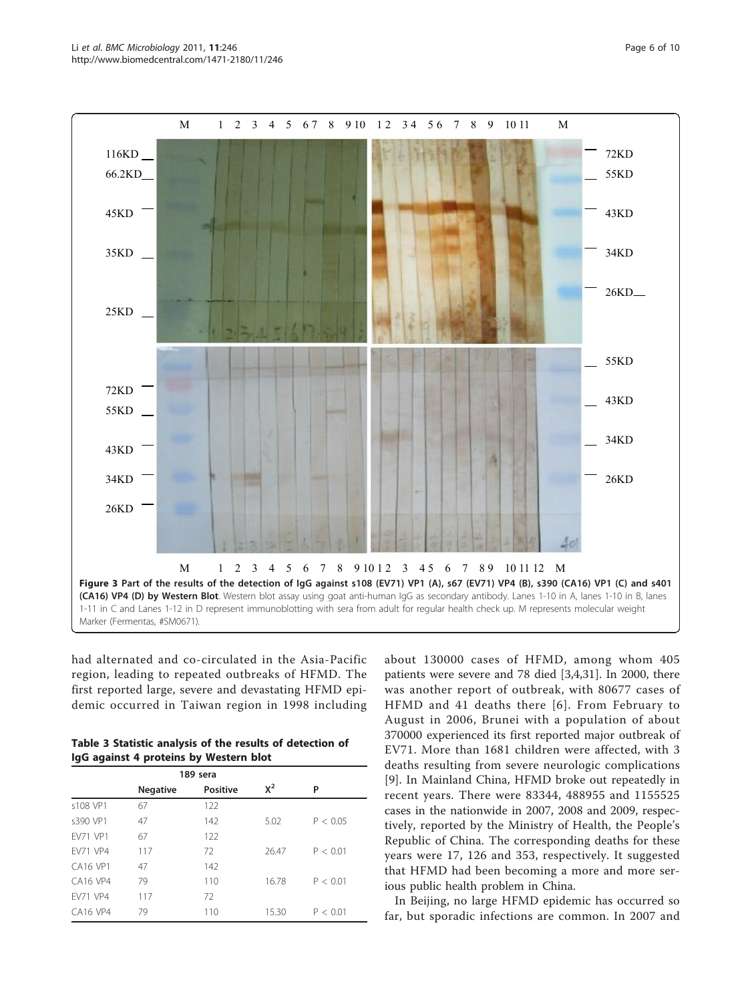had alternated and co-circulated in the Asia-Pacific region, leading to repeated outbreaks of HFMD. The first reported large, severe and devastating HFMD epidemic occurred in Taiwan region in 1998 including

| Table 3 Statistic analysis of the results of detection of |  |
|-----------------------------------------------------------|--|
| IgG against 4 proteins by Western blot                    |  |

|                 | 189 sera        |                 |       |          |
|-----------------|-----------------|-----------------|-------|----------|
|                 | <b>Negative</b> | <b>Positive</b> | $X^2$ | P        |
| s108 VP1        | 67              | 122             |       |          |
| s390 VP1        | 47              | 142             | 5.02  | P < 0.05 |
| <b>FV71 VP1</b> | 67              | 122             |       |          |
| <b>FV71 VP4</b> | 117             | 72              | 26.47 | P < 0.01 |
| CA16 VP1        | 47              | 142             |       |          |
| <b>CA16 VP4</b> | 79              | 110             | 16.78 | P < 0.01 |
| <b>FV71 VP4</b> | 117             | 72              |       |          |
| <b>CA16 VP4</b> | 79              | 110             | 15.30 | P < 0.01 |

patients were severe and 78 died [\[3](#page-9-0),[4](#page-9-0),[31\]](#page-9-0). In 2000, there was another report of outbreak, with 80677 cases of HFMD and 41 deaths there [[6](#page-9-0)]. From February to August in 2006, Brunei with a population of about 370000 experienced its first reported major outbreak of EV71. More than 1681 children were affected, with 3 deaths resulting from severe neurologic complications [[9\]](#page-9-0). In Mainland China, HFMD broke out repeatedly in recent years. There were 83344, 488955 and 1155525 cases in the nationwide in 2007, 2008 and 2009, respectively, reported by the Ministry of Health, the People's Republic of China. The corresponding deaths for these years were 17, 126 and 353, respectively. It suggested that HFMD had been becoming a more and more serious public health problem in China.

about 130000 cases of HFMD, among whom 405

In Beijing, no large HFMD epidemic has occurred so far, but sporadic infections are common. In 2007 and

<span id="page-5-0"></span>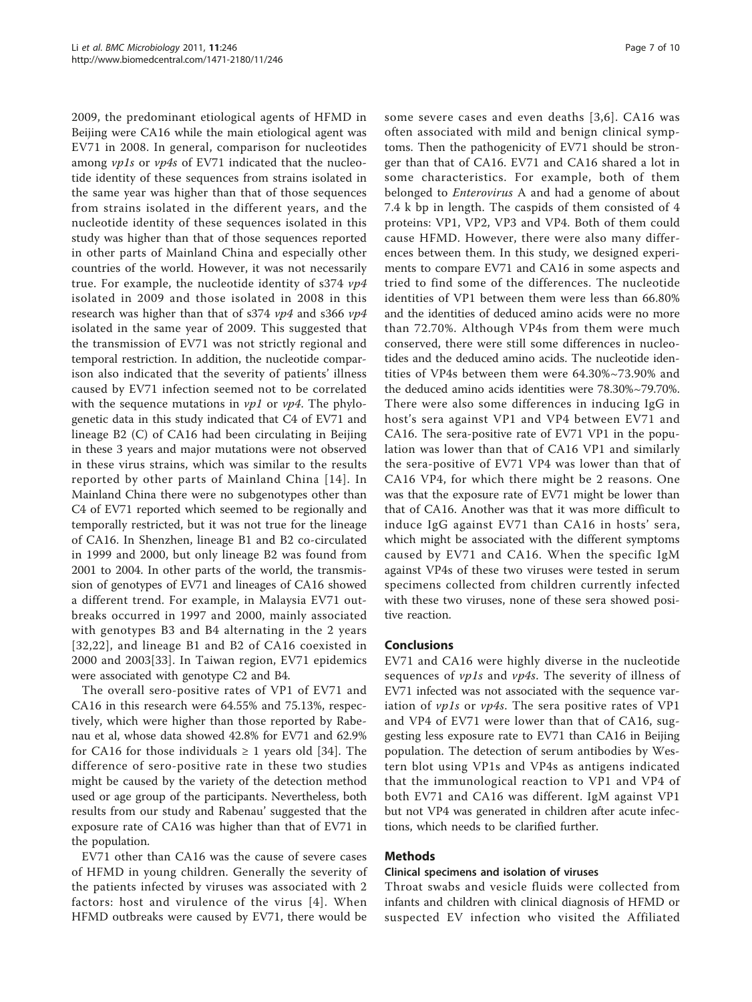2009, the predominant etiological agents of HFMD in Beijing were CA16 while the main etiological agent was EV71 in 2008. In general, comparison for nucleotides among vp1s or vp4s of EV71 indicated that the nucleotide identity of these sequences from strains isolated in the same year was higher than that of those sequences from strains isolated in the different years, and the nucleotide identity of these sequences isolated in this study was higher than that of those sequences reported in other parts of Mainland China and especially other countries of the world. However, it was not necessarily true. For example, the nucleotide identity of s374 vp4 isolated in 2009 and those isolated in 2008 in this research was higher than that of s374 vp4 and s366 vp4 isolated in the same year of 2009. This suggested that the transmission of EV71 was not strictly regional and temporal restriction. In addition, the nucleotide comparison also indicated that the severity of patients' illness caused by EV71 infection seemed not to be correlated with the sequence mutations in  $vpl$  or  $vpl$ . The phylogenetic data in this study indicated that C4 of EV71 and lineage B2 (C) of CA16 had been circulating in Beijing in these 3 years and major mutations were not observed in these virus strains, which was similar to the results reported by other parts of Mainland China [[14](#page-9-0)]. In Mainland China there were no subgenotypes other than C4 of EV71 reported which seemed to be regionally and temporally restricted, but it was not true for the lineage of CA16. In Shenzhen, lineage B1 and B2 co-circulated in 1999 and 2000, but only lineage B2 was found from 2001 to 2004. In other parts of the world, the transmission of genotypes of EV71 and lineages of CA16 showed a different trend. For example, in Malaysia EV71 outbreaks occurred in 1997 and 2000, mainly associated with genotypes B3 and B4 alternating in the 2 years [[32,22\]](#page-9-0), and lineage B1 and B2 of CA16 coexisted in 2000 and 2003[[33](#page-9-0)]. In Taiwan region, EV71 epidemics were associated with genotype C2 and B4.

The overall sero-positive rates of VP1 of EV71 and CA16 in this research were 64.55% and 75.13%, respectively, which were higher than those reported by Rabenau et al, whose data showed 42.8% for EV71 and 62.9% for CA16 for those individuals  $\geq 1$  years old [[34\]](#page-9-0). The difference of sero-positive rate in these two studies might be caused by the variety of the detection method used or age group of the participants. Nevertheless, both results from our study and Rabenau' suggested that the exposure rate of CA16 was higher than that of EV71 in the population.

EV71 other than CA16 was the cause of severe cases of HFMD in young children. Generally the severity of the patients infected by viruses was associated with 2 factors: host and virulence of the virus [[4](#page-9-0)]. When HFMD outbreaks were caused by EV71, there would be some severe cases and even deaths [[3,6\]](#page-9-0). CA16 was often associated with mild and benign clinical symptoms. Then the pathogenicity of EV71 should be stronger than that of CA16. EV71 and CA16 shared a lot in some characteristics. For example, both of them belonged to *Enterovirus* A and had a genome of about 7.4 k bp in length. The caspids of them consisted of 4 proteins: VP1, VP2, VP3 and VP4. Both of them could cause HFMD. However, there were also many differences between them. In this study, we designed experiments to compare EV71 and CA16 in some aspects and tried to find some of the differences. The nucleotide identities of VP1 between them were less than 66.80% and the identities of deduced amino acids were no more than 72.70%. Although VP4s from them were much conserved, there were still some differences in nucleotides and the deduced amino acids. The nucleotide identities of VP4s between them were 64.30%~73.90% and the deduced amino acids identities were 78.30%~79.70%. There were also some differences in inducing IgG in host's sera against VP1 and VP4 between EV71 and CA16. The sera-positive rate of EV71 VP1 in the population was lower than that of CA16 VP1 and similarly the sera-positive of EV71 VP4 was lower than that of CA16 VP4, for which there might be 2 reasons. One was that the exposure rate of EV71 might be lower than that of CA16. Another was that it was more difficult to induce IgG against EV71 than CA16 in hosts' sera, which might be associated with the different symptoms caused by EV71 and CA16. When the specific IgM against VP4s of these two viruses were tested in serum specimens collected from children currently infected with these two viruses, none of these sera showed positive reaction.

#### Conclusions

EV71 and CA16 were highly diverse in the nucleotide sequences of  $vpls$  and  $vp4s$ . The severity of illness of EV71 infected was not associated with the sequence variation of *vp1s* or *vp4s*. The sera positive rates of VP1 and VP4 of EV71 were lower than that of CA16, suggesting less exposure rate to EV71 than CA16 in Beijing population. The detection of serum antibodies by Western blot using VP1s and VP4s as antigens indicated that the immunological reaction to VP1 and VP4 of both EV71 and CA16 was different. IgM against VP1 but not VP4 was generated in children after acute infections, which needs to be clarified further.

#### Methods

#### Clinical specimens and isolation of viruses

Throat swabs and vesicle fluids were collected from infants and children with clinical diagnosis of HFMD or suspected EV infection who visited the Affiliated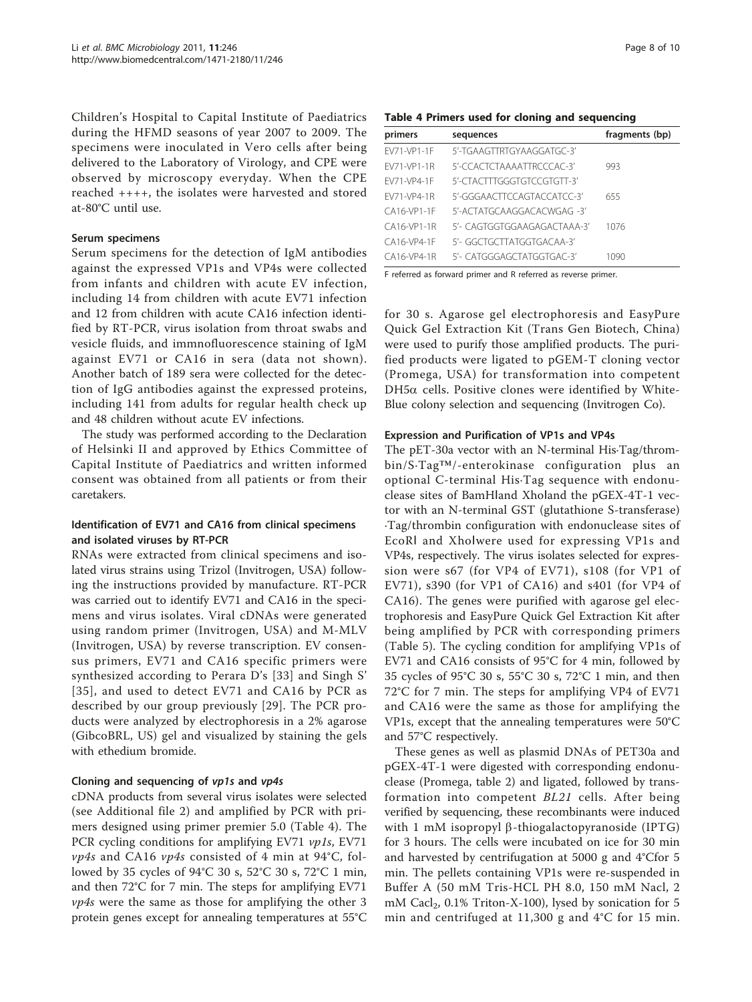Children's Hospital to Capital Institute of Paediatrics during the HFMD seasons of year 2007 to 2009. The specimens were inoculated in Vero cells after being delivered to the Laboratory of Virology, and CPE were observed by microscopy everyday. When the CPE reached ++++, the isolates were harvested and stored at-80°C until use.

#### Serum specimens

Serum specimens for the detection of IgM antibodies against the expressed VP1s and VP4s were collected from infants and children with acute EV infection, including 14 from children with acute EV71 infection and 12 from children with acute CA16 infection identified by RT-PCR, virus isolation from throat swabs and vesicle fluids, and immnofluorescence staining of IgM against EV71 or CA16 in sera (data not shown). Another batch of 189 sera were collected for the detection of IgG antibodies against the expressed proteins, including 141 from adults for regular health check up and 48 children without acute EV infections.

The study was performed according to the Declaration of Helsinki II and approved by Ethics Committee of Capital Institute of Paediatrics and written informed consent was obtained from all patients or from their caretakers.

#### Identification of EV71 and CA16 from clinical specimens and isolated viruses by RT-PCR

RNAs were extracted from clinical specimens and isolated virus strains using Trizol (Invitrogen, USA) following the instructions provided by manufacture. RT-PCR was carried out to identify EV71 and CA16 in the specimens and virus isolates. Viral cDNAs were generated using random primer (Invitrogen, USA) and M-MLV (Invitrogen, USA) by reverse transcription. EV consensus primers, EV71 and CA16 specific primers were synthesized according to Perara D's [[33](#page-9-0)] and Singh S' [[35\]](#page-9-0), and used to detect EV71 and CA16 by PCR as described by our group previously [[29\]](#page-9-0). The PCR products were analyzed by electrophoresis in a 2% agarose (GibcoBRL, US) gel and visualized by staining the gels with ethedium bromide.

#### Cloning and sequencing of vp1s and vp4s

cDNA products from several virus isolates were selected (see Additional file [2](#page-8-0)) and amplified by PCR with primers designed using primer premier 5.0 (Table 4). The PCR cycling conditions for amplifying EV71 vp1s, EV71  $vp4s$  and CA16  $vp4s$  consisted of 4 min at 94°C, followed by 35 cycles of 94°C 30 s, 52°C 30 s, 72°C 1 min, and then 72°C for 7 min. The steps for amplifying EV71 vp4s were the same as those for amplifying the other 3 protein genes except for annealing temperatures at 55°C

#### Table 4 Primers used for cloning and sequencing

| primers     | sequences                   | fragments (bp) |
|-------------|-----------------------------|----------------|
| FV71-VP1-1F | 5'-TGAAGTTRTGYAAGGATGC-3'   |                |
| FV71-VP1-1R | 5'-CCACTCTAAAATTRCCCAC-3'   | 993            |
| FV71-VP4-1F | 5'-CTACTTTGGGTGTCCGTGTT-3'  |                |
| FV71-VP4-1R | 5'-GGGAACTTCCAGTACCATCC-3'  | 655            |
| CA16-VP1-1F | 5'-ACTATGCAAGGACACWGAG -3'  |                |
| CA16-VP1-1R | 5'- CAGTGGTGGAAGAGACTAAA-3' | 1076           |
| CA16-VP4-1F | 5'- GGCTGCTTATGGTGACAA-3'   |                |
| CA16-VP4-1R | 5'- CATGGGAGCTATGGTGAC-3'   | 1090           |

F referred as forward primer and R referred as reverse primer.

for 30 s. Agarose gel electrophoresis and EasyPure Quick Gel Extraction Kit (Trans Gen Biotech, China) were used to purify those amplified products. The purified products were ligated to pGEM-T cloning vector (Promega, USA) for transformation into competent  $DH5\alpha$  cells. Positive clones were identified by White-Blue colony selection and sequencing (Invitrogen Co).

#### Expression and Purification of VP1s and VP4s

The pET-30a vector with an N-terminal His·Tag/thrombin/S·Tag™/-enterokinase configuration plus an optional C-terminal His·Tag sequence with endonuclease sites of BamHland Xholand the pGEX-4T-1 vector with an N-terminal GST (glutathione S-transferase) ·Tag/thrombin configuration with endonuclease sites of EcoRⅠ and XhoⅠwere used for expressing VP1s and VP4s, respectively. The virus isolates selected for expression were s67 (for VP4 of EV71), s108 (for VP1 of EV71), s390 (for VP1 of CA16) and s401 (for VP4 of CA16). The genes were purified with agarose gel electrophoresis and EasyPure Quick Gel Extraction Kit after being amplified by PCR with corresponding primers (Table [5\)](#page-8-0). The cycling condition for amplifying VP1s of EV71 and CA16 consists of 95°C for 4 min, followed by 35 cycles of 95°C 30 s, 55°C 30 s, 72°C 1 min, and then 72°C for 7 min. The steps for amplifying VP4 of EV71 and CA16 were the same as those for amplifying the VP1s, except that the annealing temperatures were 50°C and 57°C respectively.

These genes as well as plasmid DNAs of PET30a and pGEX-4T-1 were digested with corresponding endonuclease (Promega, table [2](#page-4-0)) and ligated, followed by transformation into competent BL21 cells. After being verified by sequencing, these recombinants were induced with 1 mM isopropyl  $\beta$ -thiogalactopyranoside (IPTG) for 3 hours. The cells were incubated on ice for 30 min and harvested by centrifugation at 5000 g and 4°Cfor 5 min. The pellets containing VP1s were re-suspended in Buffer A (50 mM Tris-HCL PH 8.0, 150 mM Nacl, 2 mM Cacl<sub>2</sub>, 0.1% Triton-X-100), lysed by sonication for 5 min and centrifuged at 11,300 g and 4°C for 15 min.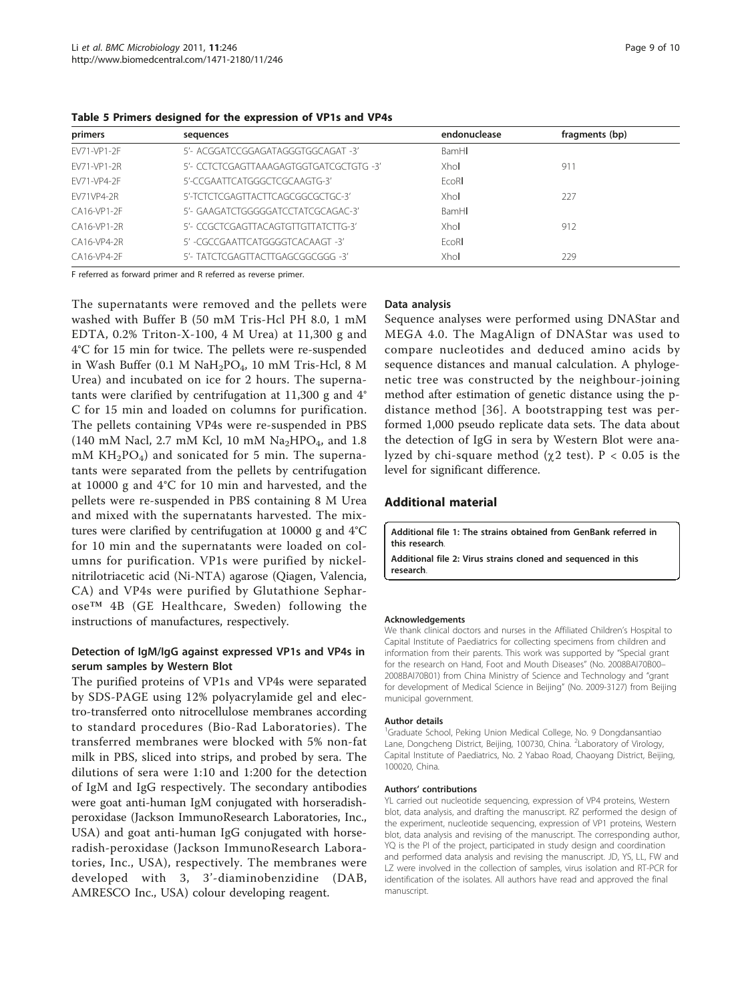| primers           | sequences                               | endonuclease | fragments (bp) |
|-------------------|-----------------------------------------|--------------|----------------|
| FV71-VP1-2F       | 5'- ACGGATCCGGAGATAGGGTGGCAGAT -3'      | BamHI        |                |
| FV71-VP1-2R       | 5'- CCTCTCGAGTTAAAGAGTGGTGATCGCTGTG -3' | Xhol         | 911            |
| FV71-VP4-2F       | 5'-CCGAATTCATGGGCTCGCAAGTG-3'           | EcoRI        |                |
| <b>FV71VP4-2R</b> | 5'-TCTCTCGAGTTACTTCAGCGGCGCTGC-3'       | Xhol         | 227            |
| CA16-VP1-2F       | 5'- GAAGATCTGGGGGATCCTATCGCAGAC-3'      | BamHI        |                |
| CA16-VP1-2R       | 5'- CCGCTCGAGTTACAGTGTTGTTATCTTG-3'     | Xhol         | 912            |
| CA16-VP4-2R       | 5' -CGCCGAATTCATGGGGTCACAAGT -3'        | FroRL        |                |
| CA16-VP4-2F       | 5'- TATCTCGAGTTACTTGAGCGGCGGG -3'       | Xhol         | 229            |

<span id="page-8-0"></span>Table 5 Primers designed for the expression of VP1s and VP4s

F referred as forward primer and R referred as reverse primer.

The supernatants were removed and the pellets were washed with Buffer B (50 mM Tris-Hcl PH 8.0, 1 mM EDTA, 0.2% Triton-X-100, 4 M Urea) at 11,300 g and 4°C for 15 min for twice. The pellets were re-suspended in Wash Buffer (0.1 M  $NaH_2PO_4$ , 10 mM Tris-Hcl, 8 M Urea) and incubated on ice for 2 hours. The supernatants were clarified by centrifugation at 11,300 g and 4° C for 15 min and loaded on columns for purification. The pellets containing VP4s were re-suspended in PBS (140 mM Nacl, 2.7 mM Kcl, 10 mM  $Na<sub>2</sub>HPO<sub>4</sub>$ , and 1.8 mM  $KH_2PO_4$ ) and sonicated for 5 min. The supernatants were separated from the pellets by centrifugation at 10000 g and 4°C for 10 min and harvested, and the pellets were re-suspended in PBS containing 8 M Urea and mixed with the supernatants harvested. The mixtures were clarified by centrifugation at 10000 g and 4°C for 10 min and the supernatants were loaded on columns for purification. VP1s were purified by nickelnitrilotriacetic acid (Ni-NTA) agarose (Qiagen, Valencia, CA) and VP4s were purified by Glutathione Sepharose™ 4B (GE Healthcare, Sweden) following the instructions of manufactures, respectively.

# Detection of IgM/IgG against expressed VP1s and VP4s in serum samples by Western Blot

The purified proteins of VP1s and VP4s were separated by SDS-PAGE using 12% polyacrylamide gel and electro-transferred onto nitrocellulose membranes according to standard procedures (Bio-Rad Laboratories). The transferred membranes were blocked with 5% non-fat milk in PBS, sliced into strips, and probed by sera. The dilutions of sera were 1:10 and 1:200 for the detection of IgM and IgG respectively. The secondary antibodies were goat anti-human IgM conjugated with horseradishperoxidase (Jackson ImmunoResearch Laboratories, Inc., USA) and goat anti-human IgG conjugated with horseradish-peroxidase (Jackson ImmunoResearch Laboratories, Inc., USA), respectively. The membranes were developed with 3, 3'-diaminobenzidine (DAB, AMRESCO Inc., USA) colour developing reagent.

#### Data analysis

Sequence analyses were performed using DNAStar and MEGA 4.0. The MagAlign of DNAStar was used to compare nucleotides and deduced amino acids by sequence distances and manual calculation. A phylogenetic tree was constructed by the neighbour-joining method after estimation of genetic distance using the pdistance method [[36\]](#page-9-0). A bootstrapping test was performed 1,000 pseudo replicate data sets. The data about the detection of IgG in sera by Western Blot were analyzed by chi-square method ( $\chi$ 2 test). P < 0.05 is the level for significant difference.

#### Additional material

[Additional file 1: T](http://www.biomedcentral.com/content/supplementary/1471-2180-11-246-S1.DOC)he strains obtained from GenBank referred in this research.

[Additional file 2: V](http://www.biomedcentral.com/content/supplementary/1471-2180-11-246-S2.DOC)irus strains cloned and sequenced in this research.

#### Acknowledgements

We thank clinical doctors and nurses in the Affiliated Children's Hospital to Capital Institute of Paediatrics for collecting specimens from children and information from their parents. This work was supported by "Special grant for the research on Hand, Foot and Mouth Diseases" (No. 2008BAI70B00– 2008BAI70B01) from China Ministry of Science and Technology and "grant for development of Medical Science in Beijing" (No. 2009-3127) from Beijing municipal government.

#### Author details

<sup>1</sup>Graduate School, Peking Union Medical College, No. 9 Dongdansantiao Lane, Dongcheng District, Beijing, 100730, China. <sup>2</sup>Laboratory of Virology Capital Institute of Paediatrics, No. 2 Yabao Road, Chaoyang District, Beijing, 100020, China.

#### Authors' contributions

YL carried out nucleotide sequencing, expression of VP4 proteins, Western blot, data analysis, and drafting the manuscript. RZ performed the design of the experiment, nucleotide sequencing, expression of VP1 proteins, Western blot, data analysis and revising of the manuscript. The corresponding author, YQ is the PI of the project, participated in study design and coordination and performed data analysis and revising the manuscript. JD, YS, LL, FW and LZ were involved in the collection of samples, virus isolation and RT-PCR for identification of the isolates. All authors have read and approved the final manuscript.